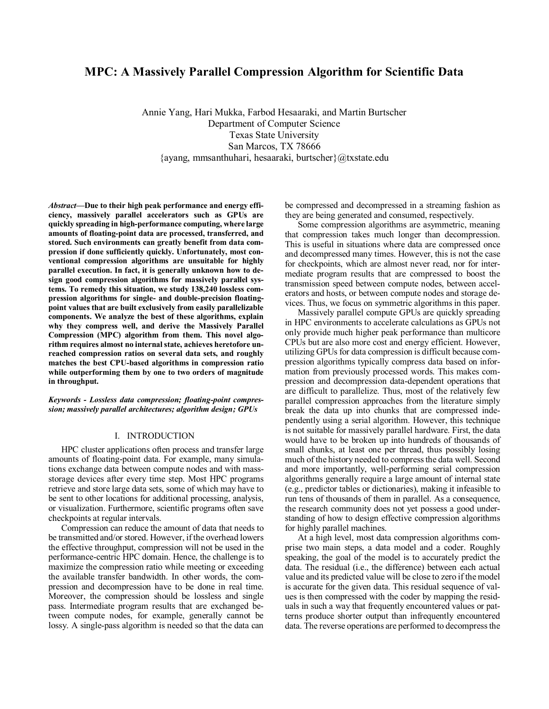# **MPC: A Massively Parallel Compression Algorithm for Scientific Data**

Annie Yang, Hari Mukka, Farbod Hesaaraki, and Martin Burtscher Department of Computer Science Texas State University San Marcos, TX 78666 {ayang, mmsanthuhari, hesaaraki, burtscher}@txstate.edu

*Abstract***—Due to their high peak performance and energy efficiency, massively parallel accelerators such as GPUs are quickly spreading in high-performance computing, where large amounts of floating-point data are processed, transferred, and stored. Such environments can greatly benefit from data compression if done sufficiently quickly. Unfortunately, most conventional compression algorithms are unsuitable for highly parallel execution. In fact, it is generally unknown how to design good compression algorithms for massively parallel systems. To remedy this situation, we study 138,240 lossless compression algorithms for single- and double-precision floatingpoint values that are built exclusively from easily parallelizable components. We analyze the best of these algorithms, explain why they compress well, and derive the Massively Parallel Compression (MPC) algorithm from them. This novel algorithm requires almost no internal state, achieves heretofore unreached compression ratios on several data sets, and roughly matches the best CPU-based algorithms in compression ratio while outperforming them by one to two orders of magnitude in throughput.**

*Keywords - Lossless data compression; floating-point compression; massively parallel architectures; algorithm design; GPUs*

# I. INTRODUCTION

HPC cluster applications often process and transfer large amounts of floating-point data. For example, many simulations exchange data between compute nodes and with massstorage devices after every time step. Most HPC programs retrieve and store large data sets, some of which may have to be sent to other locations for additional processing, analysis, or visualization. Furthermore, scientific programs often save checkpoints at regular intervals.

Compression can reduce the amount of data that needs to be transmitted and/or stored. However, if the overhead lowers the effective throughput, compression will not be used in the performance-centric HPC domain. Hence, the challenge is to maximize the compression ratio while meeting or exceeding the available transfer bandwidth. In other words, the compression and decompression have to be done in real time. Moreover, the compression should be lossless and single pass. Intermediate program results that are exchanged between compute nodes, for example, generally cannot be lossy. A single-pass algorithm is needed so that the data can

be compressed and decompressed in a streaming fashion as they are being generated and consumed, respectively.

Some compression algorithms are asymmetric, meaning that compression takes much longer than decompression. This is useful in situations where data are compressed once and decompressed many times. However, this is not the case for checkpoints, which are almost never read, nor for intermediate program results that are compressed to boost the transmission speed between compute nodes, between accelerators and hosts, or between compute nodes and storage devices. Thus, we focus on symmetric algorithms in this paper.

Massively parallel compute GPUs are quickly spreading in HPC environments to accelerate calculations as GPUs not only provide much higher peak performance than multicore CPUs but are also more cost and energy efficient. However, utilizing GPUs for data compression is difficult because compression algorithms typically compress data based on information from previously processed words. This makes compression and decompression data-dependent operations that are difficult to parallelize. Thus, most of the relatively few parallel compression approaches from the literature simply break the data up into chunks that are compressed independently using a serial algorithm. However, this technique is not suitable for massively parallel hardware. First, the data would have to be broken up into hundreds of thousands of small chunks, at least one per thread, thus possibly losing much of the history needed to compress the data well. Second and more importantly, well-performing serial compression algorithms generally require a large amount of internal state (e.g., predictor tables or dictionaries), making it infeasible to run tens of thousands of them in parallel. As a consequence, the research community does not yet possess a good understanding of how to design effective compression algorithms for highly parallel machines.

At a high level, most data compression algorithms comprise two main steps, a data model and a coder. Roughly speaking, the goal of the model is to accurately predict the data. The residual (i.e., the difference) between each actual value and its predicted value will be close to zero if the model is accurate for the given data. This residual sequence of values is then compressed with the coder by mapping the residuals in such a way that frequently encountered values or patterns produce shorter output than infrequently encountered data. The reverse operations are performed to decompress the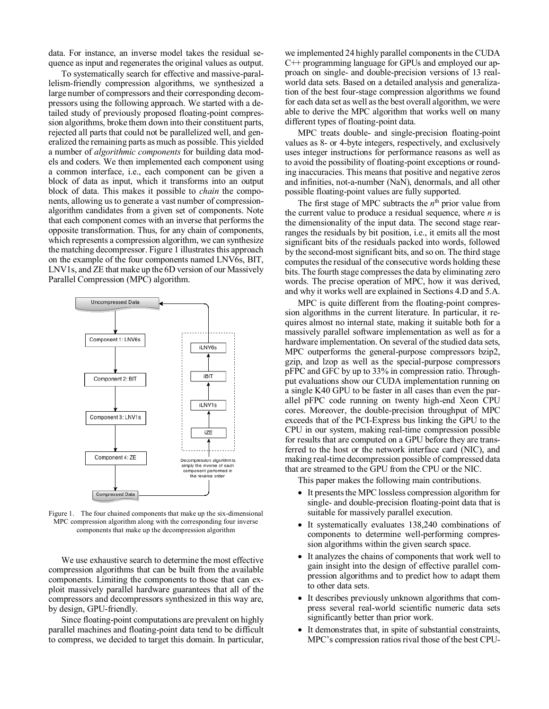data. For instance, an inverse model takes the residual sequence as input and regenerates the original values as output.

To systematically search for effective and massive-parallelism-friendly compression algorithms, we synthesized a large number of compressors and their corresponding decompressors using the following approach. We started with a detailed study of previously proposed floating-point compression algorithms, broke them down into their constituent parts, rejected all parts that could not be parallelized well, and generalized the remaining parts as much as possible. This yielded a number of *algorithmic components* for building data models and coders. We then implemented each component using a common interface, i.e., each component can be given a block of data as input, which it transforms into an output block of data. This makes it possible to *chain* the components, allowing us to generate a vast number of compressionalgorithm candidates from a given set of components. Note that each component comes with an inverse that performs the opposite transformation. Thus, for any chain of components, which represents a compression algorithm, we can synthesize the matching decompressor. Figure 1 illustrates this approach on the example of the four components named LNV6s, BIT, LNV1s, and ZE that make up the 6D version of our Massively Parallel Compression (MPC) algorithm.



Figure 1. The four chained components that make up the six-dimensional MPC compression algorithm along with the corresponding four inverse components that make up the decompression algorithm

We use exhaustive search to determine the most effective compression algorithms that can be built from the available components. Limiting the components to those that can exploit massively parallel hardware guarantees that all of the compressors and decompressors synthesized in this way are, by design, GPU-friendly.

Since floating-point computations are prevalent on highly parallel machines and floating-point data tend to be difficult to compress, we decided to target this domain. In particular,

we implemented 24 highly parallel components in the CUDA C++ programming language for GPUs and employed our approach on single- and double-precision versions of 13 realworld data sets. Based on a detailed analysis and generalization of the best four-stage compression algorithms we found for each data set as well as the best overall algorithm, we were able to derive the MPC algorithm that works well on many different types of floating-point data.

MPC treats double- and single-precision floating-point values as 8- or 4-byte integers, respectively, and exclusively uses integer instructions for performance reasons as well as to avoid the possibility of floating-point exceptions or rounding inaccuracies. This means that positive and negative zeros and infinities, not-a-number (NaN), denormals, and all other possible floating-point values are fully supported.

The first stage of MPC subtracts the  $n<sup>th</sup>$  prior value from the current value to produce a residual sequence, where *n* is the dimensionality of the input data. The second stage rearranges the residuals by bit position, i.e., it emits all the most significant bits of the residuals packed into words, followed by the second-most significant bits, and so on. The third stage computes the residual of the consecutive words holding these bits. The fourth stage compresses the data by eliminating zero words. The precise operation of MPC, how it was derived, and why it works well are explained in Sections 4.D and 5.A.

MPC is quite different from the floating-point compression algorithms in the current literature. In particular, it requires almost no internal state, making it suitable both for a massively parallel software implementation as well as for a hardware implementation. On several of the studied data sets, MPC outperforms the general-purpose compressors bzip2, gzip, and lzop as well as the special-purpose compressors pFPC and GFC by up to 33% in compression ratio. Throughput evaluations show our CUDA implementation running on a single K40 GPU to be faster in all cases than even the parallel pFPC code running on twenty high-end Xeon CPU cores. Moreover, the double-precision throughput of MPC exceeds that of the PCI-Express bus linking the GPU to the CPU in our system, making real-time compression possible for results that are computed on a GPU before they are transferred to the host or the network interface card (NIC), and making real-time decompression possible of compressed data that are streamed to the GPU from the CPU or the NIC.

This paper makes the following main contributions.

- It presents the MPC lossless compression algorithm for single- and double-precision floating-point data that is suitable for massively parallel execution.
- It systematically evaluates 138,240 combinations of components to determine well-performing compression algorithms within the given search space.
- It analyzes the chains of components that work well to gain insight into the design of effective parallel compression algorithms and to predict how to adapt them to other data sets.
- It describes previously unknown algorithms that compress several real-world scientific numeric data sets significantly better than prior work.
- It demonstrates that, in spite of substantial constraints, MPC's compression ratios rival those of the best CPU-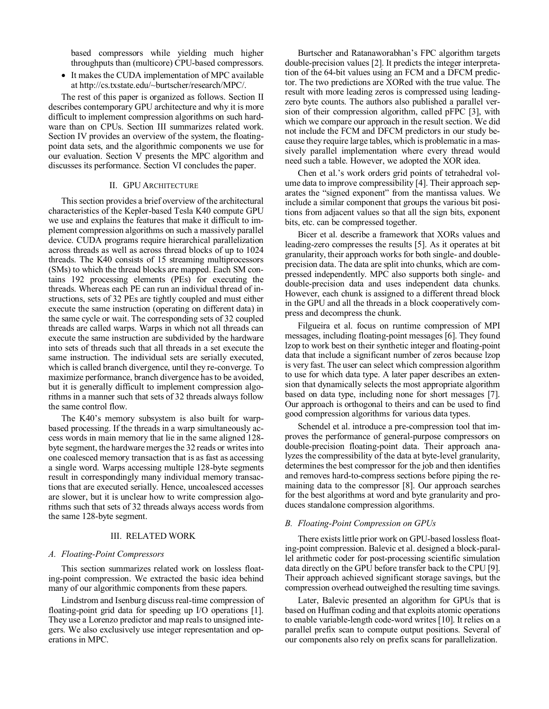based compressors while yielding much higher throughputs than (multicore) CPU-based compressors.

• It makes the CUDA implementation of MPC available at http://cs.txstate.edu/~burtscher/research/MPC/.

The rest of this paper is organized as follows. Section II describes contemporary GPU architecture and why it is more difficult to implement compression algorithms on such hardware than on CPUs. Section III summarizes related work. Section IV provides an overview of the system, the floatingpoint data sets, and the algorithmic components we use for our evaluation. Section V presents the MPC algorithm and discusses its performance. Section VI concludes the paper.

### II. GPU ARCHITECTURE

This section provides a brief overview of the architectural characteristics of the Kepler-based Tesla K40 compute GPU we use and explains the features that make it difficult to implement compression algorithms on such a massively parallel device. CUDA programs require hierarchical parallelization across threads as well as across thread blocks of up to 1024 threads. The K40 consists of 15 streaming multiprocessors (SMs) to which the thread blocks are mapped. Each SM contains 192 processing elements (PEs) for executing the threads. Whereas each PE can run an individual thread of instructions, sets of 32 PEs are tightly coupled and must either execute the same instruction (operating on different data) in the same cycle or wait. The corresponding sets of 32 coupled threads are called warps. Warps in which not all threads can execute the same instruction are subdivided by the hardware into sets of threads such that all threads in a set execute the same instruction. The individual sets are serially executed, which is called branch divergence, until they re-converge. To maximize performance, branch divergence has to be avoided, but it is generally difficult to implement compression algorithms in a manner such that sets of 32 threads always follow the same control flow.

The K40's memory subsystem is also built for warpbased processing. If the threads in a warp simultaneously access words in main memory that lie in the same aligned 128 byte segment, the hardware merges the 32 reads or writes into one coalesced memory transaction that is as fast as accessing a single word. Warps accessing multiple 128-byte segments result in correspondingly many individual memory transactions that are executed serially. Hence, uncoalesced accesses are slower, but it is unclear how to write compression algorithms such that sets of 32 threads always access words from the same 128-byte segment.

#### III. RELATED WORK

### *A. Floating-Point Compressors*

This section summarizes related work on lossless floating-point compression. We extracted the basic idea behind many of our algorithmic components from these papers.

Lindstrom and Isenburg discuss real-time compression of floating-point grid data for speeding up I/O operations [1]. They use a Lorenzo predictor and map reals to unsigned integers. We also exclusively use integer representation and operations in MPC.

Burtscher and Ratanaworabhan's FPC algorithm targets double-precision values [2]. It predicts the integer interpretation of the 64-bit values using an FCM and a DFCM predictor. The two predictions are XORed with the true value. The result with more leading zeros is compressed using leadingzero byte counts. The authors also published a parallel version of their compression algorithm, called pFPC [3], with which we compare our approach in the result section. We did not include the FCM and DFCM predictors in our study because they require large tables, which is problematic in a massively parallel implementation where every thread would need such a table. However, we adopted the XOR idea.

Chen et al.'s work orders grid points of tetrahedral volume data to improve compressibility [4]. Their approach separates the "signed exponent" from the mantissa values. We include a similar component that groups the various bit positions from adjacent values so that all the sign bits, exponent bits, etc. can be compressed together.

Bicer et al. describe a framework that XORs values and leading-zero compresses the results [5]. As it operates at bit granularity, their approach works for both single- and doubleprecision data. The data are split into chunks, which are compressed independently. MPC also supports both single- and double-precision data and uses independent data chunks. However, each chunk is assigned to a different thread block in the GPU and all the threads in a block cooperatively compress and decompress the chunk.

Filgueira et al. focus on runtime compression of MPI messages, including floating-point messages [6]. They found lzop to work best on their synthetic integer and floating-point data that include a significant number of zeros because lzop is very fast. The user can select which compression algorithm to use for which data type. A later paper describes an extension that dynamically selects the most appropriate algorithm based on data type, including none for short messages [7]. Our approach is orthogonal to theirs and can be used to find good compression algorithms for various data types.

Schendel et al. introduce a pre-compression tool that improves the performance of general-purpose compressors on double-precision floating-point data. Their approach analyzes the compressibility of the data at byte-level granularity, determines the best compressor for the job and then identifies and removes hard-to-compress sections before piping the remaining data to the compressor [8]. Our approach searches for the best algorithms at word and byte granularity and produces standalone compression algorithms.

# *B. Floating-Point Compression on GPUs*

There exists little prior work on GPU-based lossless floating-point compression. Balevic et al. designed a block-parallel arithmetic coder for post-processing scientific simulation data directly on the GPU before transfer back to the CPU [9]. Their approach achieved significant storage savings, but the compression overhead outweighed the resulting time savings.

Later, Balevic presented an algorithm for GPUs that is based on Huffman coding and that exploits atomic operations to enable variable-length code-word writes [10]. It relies on a parallel prefix scan to compute output positions. Several of our components also rely on prefix scans for parallelization.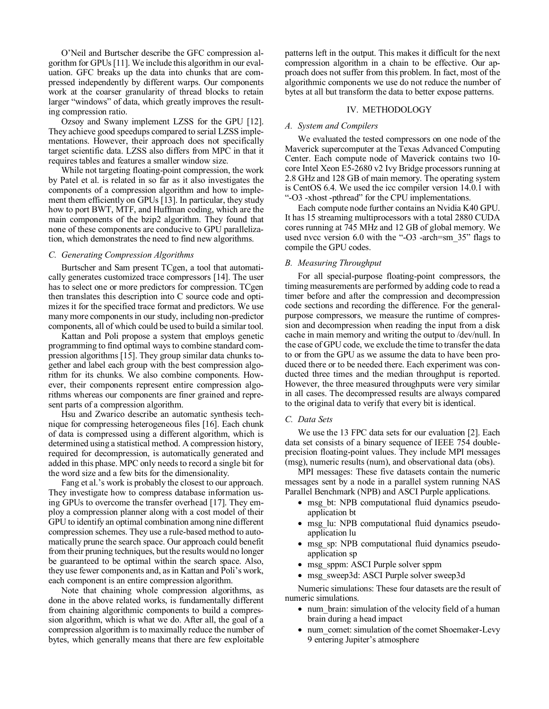O'Neil and Burtscher describe the GFC compression algorithm for GPUs [11]. We include this algorithm in our evaluation. GFC breaks up the data into chunks that are compressed independently by different warps. Our components work at the coarser granularity of thread blocks to retain larger "windows" of data, which greatly improves the resulting compression ratio.

Ozsoy and Swany implement LZSS for the GPU [12]. They achieve good speedups compared to serial LZSS implementations. However, their approach does not specifically target scientific data. LZSS also differs from MPC in that it requires tables and features a smaller window size.

While not targeting floating-point compression, the work by Patel et al. is related in so far as it also investigates the components of a compression algorithm and how to implement them efficiently on GPUs [13]. In particular, they study how to port BWT, MTF, and Huffman coding, which are the main components of the bzip2 algorithm. They found that none of these components are conducive to GPU parallelization, which demonstrates the need to find new algorithms.

### *C. Generating Compression Algorithms*

Burtscher and Sam present TCgen, a tool that automatically generates customized trace compressors [14]. The user has to select one or more predictors for compression. TCgen then translates this description into C source code and optimizes it for the specified trace format and predictors. We use many more components in our study, including non-predictor components, all of which could be used to build a similar tool.

Kattan and Poli propose a system that employs genetic programming to find optimal ways to combine standard compression algorithms [15]. They group similar data chunks together and label each group with the best compression algorithm for its chunks. We also combine components. However, their components represent entire compression algorithms whereas our components are finer grained and represent parts of a compression algorithm.

Hsu and Zwarico describe an automatic synthesis technique for compressing heterogeneous files [16]. Each chunk of data is compressed using a different algorithm, which is determined using a statistical method. A compression history, required for decompression, is automatically generated and added in this phase. MPC only needs to record a single bit for the word size and a few bits for the dimensionality.

Fang et al.'s work is probably the closest to our approach. They investigate how to compress database information using GPUs to overcome the transfer overhead [17]. They employ a compression planner along with a cost model of their GPU to identify an optimal combination among nine different compression schemes. They use a rule-based method to automatically prune the search space. Our approach could benefit from their pruning techniques, but the results would no longer be guaranteed to be optimal within the search space. Also, they use fewer components and, as in Kattan and Poli's work, each component is an entire compression algorithm.

Note that chaining whole compression algorithms, as done in the above related works, is fundamentally different from chaining algorithmic components to build a compression algorithm, which is what we do. After all, the goal of a compression algorithm is to maximally reduce the number of bytes, which generally means that there are few exploitable

patterns left in the output. This makes it difficult for the next compression algorithm in a chain to be effective. Our approach does not suffer from this problem. In fact, most of the algorithmic components we use do not reduce the number of bytes at all but transform the data to better expose patterns.

# IV. METHODOLOGY

# *A. System and Compilers*

We evaluated the tested compressors on one node of the Maverick supercomputer at the Texas Advanced Computing Center. Each compute node of Maverick contains two 10 core Intel Xeon E5-2680 v2 Ivy Bridge processors running at 2.8 GHz and 128 GB of main memory. The operating system is CentOS 6.4. We used the icc compiler version 14.0.1 with "-O3 -xhost -pthread" for the CPU implementations.

Each compute node further contains an Nvidia K40 GPU. It has 15 streaming multiprocessors with a total 2880 CUDA cores running at 745 MHz and 12 GB of global memory. We used nvcc version 6.0 with the "-O3 -arch=sm\_35" flags to compile the GPU codes.

#### *B. Measuring Throughput*

For all special-purpose floating-point compressors, the timing measurements are performed by adding code to read a timer before and after the compression and decompression code sections and recording the difference. For the generalpurpose compressors, we measure the runtime of compression and decompression when reading the input from a disk cache in main memory and writing the output to /dev/null. In the case of GPU code, we exclude the time to transfer the data to or from the GPU as we assume the data to have been produced there or to be needed there. Each experiment was conducted three times and the median throughput is reported. However, the three measured throughputs were very similar in all cases. The decompressed results are always compared to the original data to verify that every bit is identical.

### *C. Data Sets*

We use the 13 FPC data sets for our evaluation [2]. Each data set consists of a binary sequence of IEEE 754 doubleprecision floating-point values. They include MPI messages (msg), numeric results (num), and observational data (obs).

MPI messages: These five datasets contain the numeric messages sent by a node in a parallel system running NAS Parallel Benchmark (NPB) and ASCI Purple applications.

- msg bt: NPB computational fluid dynamics pseudoapplication bt
- msg lu: NPB computational fluid dynamics pseudoapplication lu
- msg sp: NPB computational fluid dynamics pseudoapplication sp
- msg\_sppm: ASCI Purple solver sppm
- msg\_sweep3d: ASCI Purple solver sweep3d

Numeric simulations: These four datasets are the result of numeric simulations.

- num brain: simulation of the velocity field of a human brain during a head impact
- num\_comet: simulation of the comet Shoemaker-Levy 9 entering Jupiter's atmosphere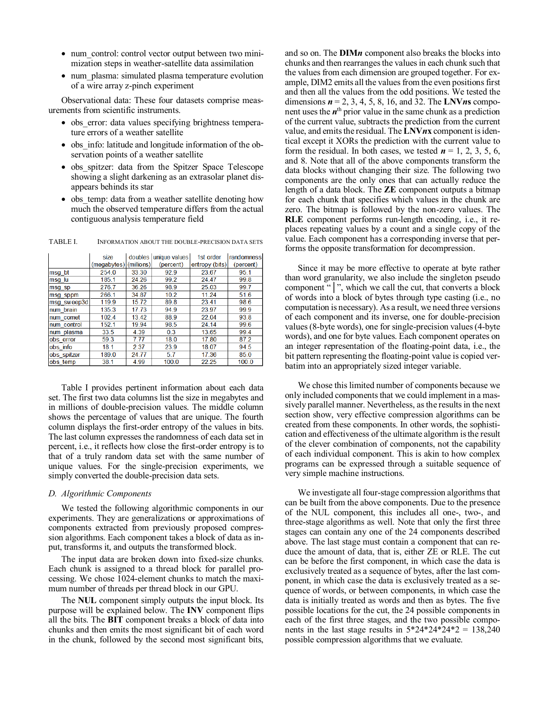- num\_control: control vector output between two minimization steps in weather-satellite data assimilation
- num plasma: simulated plasma temperature evolution of a wire array z-pinch experiment

Observational data: These four datasets comprise measurements from scientific instruments.

- obs error: data values specifying brightness temperature errors of a weather satellite
- obs info: latitude and longitude information of the observation points of a weather satellite
- obs spitzer: data from the Spitzer Space Telescope showing a slight darkening as an extrasolar planet disappears behinds its star
- obs temp: data from a weather satellite denoting how much the observed temperature differs from the actual contiguous analysis temperature field

|             | size<br>(megabytes) (millions) |       | doubles unique values<br>(percent) | 1st order<br>entropy (bits) | randomness<br>(percent) |
|-------------|--------------------------------|-------|------------------------------------|-----------------------------|-------------------------|
|             |                                |       |                                    |                             |                         |
| msg bt      | 254.0                          | 33.30 | 92.9                               | 23.67                       | 95.1                    |
| msg lu      | 185.1                          | 24.26 | 99.2                               | 24.47                       | 99.8                    |
| msg sp      | 276.7                          | 36.26 | 98.9                               | 25.03                       | 99.7                    |
| msg sppm    | 266.1                          | 34.87 | 10.2                               | 11.24                       | 51.6                    |
| msg sweep3d | 119.9                          | 15.72 | 89.8                               | 23.41                       | 98.6                    |
| num brain   | 135.3                          | 17.73 | 94.9                               | 23.97                       | 99.9                    |
| num comet   | 102.4                          | 13.42 | 88.9                               | 22.04                       | 93.8                    |
| num control | 152.1                          | 19.94 | 98.5                               | 24.14                       | 99.6                    |
| num plasma  | 33.5                           | 4.39  | 0.3                                | 13.65                       | 99.4                    |
| obs error   | 59.3                           | 7.77  | 18.0                               | 17.80                       | 87.2                    |
| obs info    | 18.1                           | 2.37  | 23.9                               | 18.07                       | 94.5                    |
| obs spitzer | 189.0                          | 24.77 | 5.7                                | 17.36                       | 85.0                    |
| obs temp    | 38.1                           | 4.99  | 100.0                              | 22.25                       | 100.0                   |

TABLE I. INFORMATION ABOUT THE DOUBLE-PRECISION DATA SETS

Table I provides pertinent information about each data set. The first two data columns list the size in megabytes and in millions of double-precision values. The middle column shows the percentage of values that are unique. The fourth column displays the first-order entropy of the values in bits. The last column expresses the randomness of each data set in percent, i.e., it reflects how close the first-order entropy is to that of a truly random data set with the same number of unique values. For the single-precision experiments, we simply converted the double-precision data sets.

#### *D. Algorithmic Components*

We tested the following algorithmic components in our experiments. They are generalizations or approximations of components extracted from previously proposed compression algorithms. Each component takes a block of data as input, transforms it, and outputs the transformed block.

The input data are broken down into fixed-size chunks. Each chunk is assigned to a thread block for parallel processing. We chose 1024-element chunks to match the maximum number of threads per thread block in our GPU.

The **NUL** component simply outputs the input block. Its purpose will be explained below. The **INV** component flips all the bits. The **BIT** component breaks a block of data into chunks and then emits the most significant bit of each word in the chunk, followed by the second most significant bits,

and so on. The **DIM***n* component also breaks the blocks into chunks and then rearranges the values in each chunk such that the values from each dimension are grouped together. For example, DIM2 emits all the values from the even positions first and then all the values from the odd positions. We tested the dimensions *n* = 2, 3, 4, 5, 8, 16, and 32. The **LNV***n***s** component uses the  $n<sup>th</sup>$  prior value in the same chunk as a prediction of the current value, subtracts the prediction from the current value, and emits the residual. The **LNV***n***x** component is identical except it XORs the prediction with the current value to form the residual. In both cases, we tested  $n = 1, 2, 3, 5, 6$ , and 8. Note that all of the above components transform the data blocks without changing their size. The following two components are the only ones that can actually reduce the length of a data block. The **ZE** component outputs a bitmap for each chunk that specifies which values in the chunk are zero. The bitmap is followed by the non-zero values. The **RLE** component performs run-length encoding, i.e., it replaces repeating values by a count and a single copy of the value. Each component has a corresponding inverse that performs the opposite transformation for decompression.

Since it may be more effective to operate at byte rather than word granularity, we also include the singleton pseudo component "<sup>|</sup>", which we call the cut, that converts a block of words into a block of bytes through type casting (i.e., no computation is necessary). As a result, we need three versions of each component and its inverse, one for double-precision values (8-byte words), one for single-precision values (4-byte words), and one for byte values. Each component operates on an integer representation of the floating-point data, i.e., the bit pattern representing the floating-point value is copied verbatim into an appropriately sized integer variable.

We chose this limited number of components because we only included components that we could implement in a massively parallel manner. Nevertheless, as the results in the next section show, very effective compression algorithms can be created from these components. In other words, the sophistication and effectiveness of the ultimate algorithm is the result of the clever combination of components, not the capability of each individual component. This is akin to how complex programs can be expressed through a suitable sequence of very simple machine instructions.

We investigate all four-stage compression algorithms that can be built from the above components. Due to the presence of the NUL component, this includes all one-, two-, and three-stage algorithms as well. Note that only the first three stages can contain any one of the 24 components described above. The last stage must contain a component that can reduce the amount of data, that is, either ZE or RLE. The cut can be before the first component, in which case the data is exclusively treated as a sequence of bytes, after the last component, in which case the data is exclusively treated as a sequence of words, or between components, in which case the data is initially treated as words and then as bytes. The five possible locations for the cut, the 24 possible components in each of the first three stages, and the two possible components in the last stage results in  $5*24*24*24*2 = 138,240$ possible compression algorithms that we evaluate.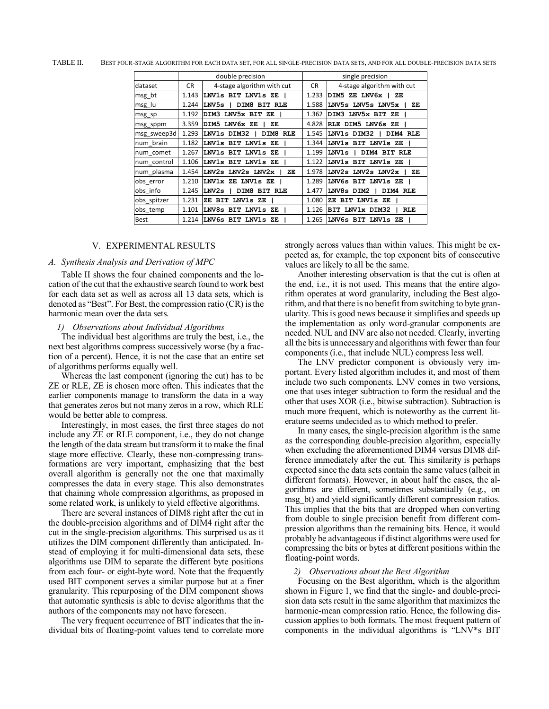|             |           | double precision           |       | single precision                      |
|-------------|-----------|----------------------------|-------|---------------------------------------|
| dataset     | <b>CR</b> | 4-stage algorithm with cut | CR.   | 4-stage algorithm with cut            |
| msg bt      | 1.143     | LNV1s BIT LNV1s ZE         | 1.233 | DIM5 ZE LNV6x  <br>ZE                 |
| msg lu      | 1.244     | LNV5s l<br>DIM8 BIT RLE    | 1.588 | LNV5s LNV5s LNV5x  <br>ZE.            |
| msg_sp      | 1.192     | DIM3 LNV5x BIT ZE          | 1.362 | DIM3 LNV5x BIT ZE                     |
| msg_sppm    | 3.359     | DIM5 LNV6x ZE<br>ZΕ        | 4.828 | RLE DIM5 LNV6s ZE                     |
| msg sweep3d | 1.293     | LNV1s DIM32  <br>DIM8 RLE  | 1.545 | LNV1s DIM32   DIM4 RLE                |
| num brain   | 1.182     | LNV1s BIT LNV1s ZE         | 1.344 | LNV1s BIT LNV1s ZE                    |
| num_comet   | 1.267     | LNV1s BIT LNV1s ZE         | 1.199 | LNV1s  <br>DIM4 BIT RLE               |
| num_control | 1.106     | LNV1s BIT LNV1s ZE         | 1.122 | LNV1s BIT LNV1s ZE                    |
| num plasma  | 1.454     | LNV2s LNV2s LNV2x<br>ZE    | 1.978 | $LNV2s$ $LNV2s$ $LNV2x$ $\perp$<br>ZE |
| obs error   | 1.210     | LNV1x ZE LNV1s ZE          | 1.289 | LNV6s BIT LNV1s ZE                    |
| obs info    | 1.245     | DIM8 BIT RLE<br>LNV2s      | 1.477 | LNV8s DIM2<br>DIM4 RLE                |
| obs spitzer | 1.231     | ZE BIT LNV1s ZE            | 1.080 | ZE BIT LNV1s ZE                       |
| obs temp    | 1.101     | LNV8s BIT LNV1s ZE         | 1.126 | RLE<br>BIT LNV1x DIM32                |
| Best        | 1.214     | LNV6s BIT LNV1s<br>- 7.F.  | 1.265 | LNV6s BIT LNV1s ZE                    |

TABLE II. BEST FOUR-STAGE ALGORITHM FOR EACH DATA SET, FOR ALL SINGLE-PRECISION DATA SETS, AND FOR ALL DOUBLE-PRECISION DATA SETS

# V. EXPERIMENTAL RESULTS

### *A. Synthesis Analysis and Derivation of MPC*

Table II shows the four chained components and the location of the cut that the exhaustive search found to work best for each data set as well as across all 13 data sets, which is denoted as "Best". For Best, the compression ratio (CR) is the harmonic mean over the data sets.

#### *1) Observations about Individual Algorithms*

The individual best algorithms are truly the best, i.e., the next best algorithms compress successively worse (by a fraction of a percent). Hence, it is not the case that an entire set of algorithms performs equally well.

Whereas the last component (ignoring the cut) has to be ZE or RLE, ZE is chosen more often. This indicates that the earlier components manage to transform the data in a way that generates zeros but not many zeros in a row, which RLE would be better able to compress.

Interestingly, in most cases, the first three stages do not include any ZE or RLE component, i.e., they do not change the length of the data stream but transform it to make the final stage more effective. Clearly, these non-compressing transformations are very important, emphasizing that the best overall algorithm is generally not the one that maximally compresses the data in every stage. This also demonstrates that chaining whole compression algorithms, as proposed in some related work, is unlikely to yield effective algorithms.

There are several instances of DIM8 right after the cut in the double-precision algorithms and of DIM4 right after the cut in the single-precision algorithms. This surprised us as it utilizes the DIM component differently than anticipated. Instead of employing it for multi-dimensional data sets, these algorithms use DIM to separate the different byte positions from each four- or eight-byte word. Note that the frequently used BIT component serves a similar purpose but at a finer granularity. This repurposing of the DIM component shows that automatic synthesis is able to devise algorithms that the authors of the components may not have foreseen.

The very frequent occurrence of BIT indicates that the individual bits of floating-point values tend to correlate more strongly across values than within values. This might be expected as, for example, the top exponent bits of consecutive values are likely to all be the same.

Another interesting observation is that the cut is often at the end, i.e., it is not used. This means that the entire algorithm operates at word granularity, including the Best algorithm, and that there is no benefit from switching to byte granularity. This is good news because it simplifies and speeds up the implementation as only word-granular components are needed. NUL and INV are also not needed. Clearly, inverting all the bits is unnecessary and algorithms with fewer than four components (i.e., that include NUL) compress less well.

The LNV predictor component is obviously very important. Every listed algorithm includes it, and most of them include two such components. LNV comes in two versions, one that uses integer subtraction to form the residual and the other that uses XOR (i.e., bitwise subtraction). Subtraction is much more frequent, which is noteworthy as the current literature seems undecided as to which method to prefer.

In many cases, the single-precision algorithm is the same as the corresponding double-precision algorithm, especially when excluding the aforementioned DIM4 versus DIM8 difference immediately after the cut. This similarity is perhaps expected since the data sets contain the same values (albeit in different formats). However, in about half the cases, the algorithms are different, sometimes substantially (e.g., on msg\_bt) and yield significantly different compression ratios. This implies that the bits that are dropped when converting from double to single precision benefit from different compression algorithms than the remaining bits. Hence, it would probably be advantageous if distinct algorithms were used for compressing the bits or bytes at different positions within the floating-point words.

#### *2) Observations about the Best Algorithm*

Focusing on the Best algorithm, which is the algorithm shown in Figure 1, we find that the single- and double-precision data sets result in the same algorithm that maximizes the harmonic-mean compression ratio. Hence, the following discussion applies to both formats. The most frequent pattern of components in the individual algorithms is "LNV\*s BIT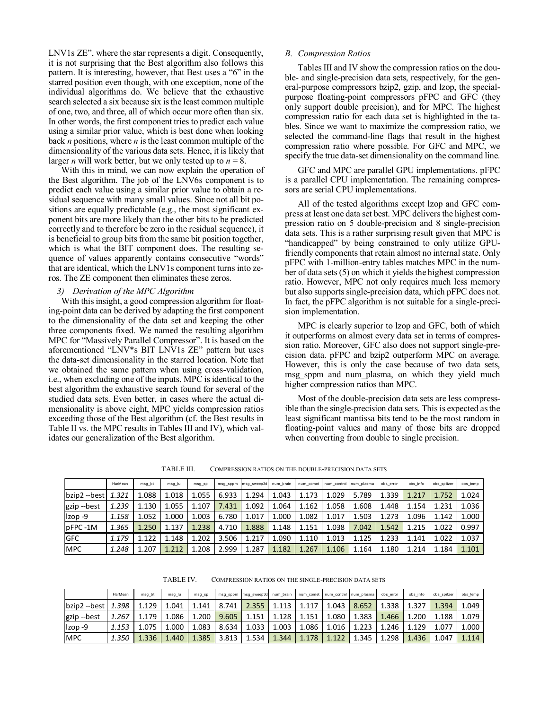LNV1s ZE", where the star represents a digit. Consequently, it is not surprising that the Best algorithm also follows this pattern. It is interesting, however, that Best uses a "6" in the starred position even though, with one exception, none of the individual algorithms do. We believe that the exhaustive search selected a six because six is the least common multiple of one, two, and three, all of which occur more often than six. In other words, the first component tries to predict each value using a similar prior value, which is best done when looking back *n* positions, where *n* is the least common multiple of the dimensionality of the various data sets. Hence, it is likely that larger *n* will work better, but we only tested up to  $n = 8$ .

With this in mind, we can now explain the operation of the Best algorithm. The job of the LNV6s component is to predict each value using a similar prior value to obtain a residual sequence with many small values. Since not all bit positions are equally predictable (e.g., the most significant exponent bits are more likely than the other bits to be predicted correctly and to therefore be zero in the residual sequence), it is beneficial to group bits from the same bit position together, which is what the BIT component does. The resulting sequence of values apparently contains consecutive "words" that are identical, which the LNV1s component turns into zeros. The ZE component then eliminates these zeros.

### *3) Derivation of the MPC Algorithm*

With this insight, a good compression algorithm for floating-point data can be derived by adapting the first component to the dimensionality of the data set and keeping the other three components fixed. We named the resulting algorithm MPC for "Massively Parallel Compressor". It is based on the aforementioned "LNV\*s BIT LNV1s ZE" pattern but uses the data-set dimensionality in the starred location. Note that we obtained the same pattern when using cross-validation, i.e., when excluding one of the inputs. MPC is identical to the best algorithm the exhaustive search found for several of the studied data sets. Even better, in cases where the actual dimensionality is above eight, MPC yields compression ratios exceeding those of the Best algorithm (cf. the Best results in Table II vs. the MPC results in Tables III and IV), which validates our generalization of the Best algorithm.

# *B. Compression Ratios*

Tables III and IV show the compression ratios on the double- and single-precision data sets, respectively, for the general-purpose compressors bzip2, gzip, and lzop, the specialpurpose floating-point compressors pFPC and GFC (they only support double precision), and for MPC. The highest compression ratio for each data set is highlighted in the tables. Since we want to maximize the compression ratio, we selected the command-line flags that result in the highest compression ratio where possible. For GFC and MPC, we specify the true data-set dimensionality on the command line.

GFC and MPC are parallel GPU implementations. pFPC is a parallel CPU implementation. The remaining compressors are serial CPU implementations.

All of the tested algorithms except lzop and GFC compress at least one data set best. MPC delivers the highest compression ratio on 5 double-precision and 8 single-precision data sets. This is a rather surprising result given that MPC is "handicapped" by being constrained to only utilize GPUfriendly components that retain almost no internal state. Only pFPC with 1-million-entry tables matches MPC in the number of data sets (5) on which it yields the highest compression ratio. However, MPC not only requires much less memory but also supports single-precision data, which pFPC does not. In fact, the pFPC algorithm is not suitable for a single-precision implementation.

MPC is clearly superior to lzop and GFC, both of which it outperforms on almost every data set in terms of compression ratio. Moreover, GFC also does not support single-precision data. pFPC and bzip2 outperform MPC on average. However, this is only the case because of two data sets, msg sppm and num plasma, on which they yield much higher compression ratios than MPC.

Most of the double-precision data sets are less compressible than the single-precision data sets. This is expected as the least significant mantissa bits tend to be the most random in floating-point values and many of those bits are dropped when converting from double to single precision.

TABLE III. COMPRESSION RATIOS ON THE DOUBLE-PRECISION DATA SETS

|                            | HarMean | msg bt | msg lu | msg sp | msg sppm | msg sweep3d num brain |       |       |       | num comet num control num plasma | obs error | obs info | obs spitzer | obs temp |
|----------------------------|---------|--------|--------|--------|----------|-----------------------|-------|-------|-------|----------------------------------|-----------|----------|-------------|----------|
| $ $ bzip2 --best $ $ 1.321 |         | 1.088  | 1.018  | 1.055  | 6.933    | 1.294                 | 1.043 | 1.173 | 1.029 | 5.789                            | 1.339     | 1.217    | 1.752       | 1.024    |
| gzip --best                | 1.239   | 1.130  | 1.055  | 1.107  | 7.431    | 1.092                 | 1.064 | 1.162 | 1.058 | 1.608                            | 1.448     | 1.154    | 1.231       | 1.036    |
| Izop-9                     | 1.158   | 1.052  | 1.000  | 1.003  | 6.780    | 1.017                 | 1.000 | 1.082 | 1.017 | 1.503                            | 1.273     | 1.096    | 1.142       | 1.000    |
| pFPC-1M                    | 1.365   | 1.250  | 1.137  | 1.238  | 4.710    | 1.888                 | 1.148 | 1.151 | 1.038 | 7.042                            | 1.542     | 1.215    | 1.022       | 0.997    |
| <b>GFC</b>                 | 1.179   | 1.122  | 1.148  | 1.202  | 3.506    | 1.217                 | 1.090 | 1.110 | 1.013 | 1.125                            | 1.233     | 1.141    | 1.022       | 1.037    |
| <b>MPC</b>                 | 1.248   | 1.207  | 1.212  | 1.208  | 2.999    | 1.287                 | 1.182 | 1.267 | 1.106 | 1.164                            | 1.180     | 1.214    | 1.184       | 1.101    |

TABLE IV. COMPRESSION RATIOS ON THE SINGLE-PRECISION DATA SETS

|                | HarMean | msg bt | msg lu | msg sp |       | msg sppm msg sweep3d num brain   num comet   num control num plasma |         |       |            |       | obs error | obs info | obs spitzer | obs temp |
|----------------|---------|--------|--------|--------|-------|---------------------------------------------------------------------|---------|-------|------------|-------|-----------|----------|-------------|----------|
| bzip2 --best L | 1.398   | 1.129  | 1.041  | 1.141  | 8.741 | 2.355                                                               | $1.113$ | 1.117 | 1.043      | 8.652 | 1.338     | 1.327    | 1.394       | 1.049    |
| gzip --best    | 1.267   | 1.179  | 1.086  | 1.200  | 9.605 | 1.151                                                               | 1.128   | 1.151 | $080^{+1}$ | 1.383 | 4.466     | 1.200    | 1.188       | 1.079    |
| Izop-9         | 1.153   | 1.075  | 1.000  | 1.083  | 8.634 | 1.033                                                               | 1.003   | 1.086 | 1.016      | 1.223 | 1.246     | 1.129    | 1.077       | 1.000    |
| <b>MPC</b>     | 1.350   | 1.336  | 1.440  | 1.385  | 3.813 | 1.534                                                               | 1.344   | 1.178 | 1.122      | 1.345 | 1.298     | 1.436    | 1.047       | 1.114    |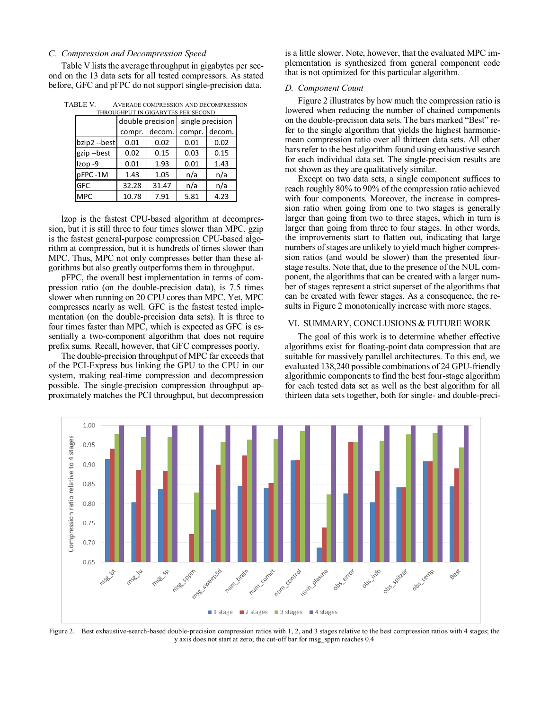### *C. Compression and Decompression Speed*

Table V lists the average throughput in gigabytes per second on the 13 data sets for all tested compressors. As stated before, GFC and pFPC do not support single-precision data.

| TABLE V. | AVERAGE COMPRESSION AND DECOMPRESSION |
|----------|---------------------------------------|
|          |                                       |

| THROUGHPUT IN GIGABYTES PER SECOND |        |                  |        |                  |  |  |  |  |  |  |
|------------------------------------|--------|------------------|--------|------------------|--|--|--|--|--|--|
|                                    |        | double precision |        | single precision |  |  |  |  |  |  |
|                                    | compr. | decom.           | compr. | decom.           |  |  |  |  |  |  |
| bzip2 --best                       | 0.01   | 0.02             | 0.01   | 0.02             |  |  |  |  |  |  |
| gzip-best                          | 0.02   | 0.15             | 0.03   | 0.15             |  |  |  |  |  |  |
| Izop-9                             | 0.01   | 1.93             | 0.01   | 1.43             |  |  |  |  |  |  |
| pFPC-1M                            | 1.43   | 1.05             | n/a    | n/a              |  |  |  |  |  |  |
| <b>GFC</b>                         | 32.28  | 31.47            | n/a    | n/a              |  |  |  |  |  |  |
| <b>MPC</b>                         | 10.78  | 7.91             | 5.81   | 4.23             |  |  |  |  |  |  |

lzop is the fastest CPU-based algorithm at decompression, but it is still three to four times slower than MPC. gzip is the fastest general-purpose compression CPU-based algorithm at compression, but it is hundreds of times slower than MPC. Thus, MPC not only compresses better than these algorithms but also greatly outperforms them in throughput.

pFPC, the overall best implementation in terms of compression ratio (on the double-precision data), is 7.5 times slower when running on 20 CPU cores than MPC. Yet, MPC compresses nearly as well. GFC is the fastest tested implementation (on the double-precision data sets). It is three to four times faster than MPC, which is expected as GFC is essentially a two-component algorithm that does not require prefix sums. Recall, however, that GFC compresses poorly.

The double-precision throughput of MPC far exceeds that of the PCI-Express bus linking the GPU to the CPU in our system, making real-time compression and decompression possible. The single-precision compression throughput approximately matches the PCI throughput, but decompression is a little slower. Note, however, that the evaluated MPC implementation is synthesized from general component code that is not optimized for this particular algorithm.

### *D. Component Count*

Figure 2 illustrates by how much the compression ratio is lowered when reducing the number of chained components on the double-precision data sets. The bars marked "Best" refer to the single algorithm that yields the highest harmonicmean compression ratio over all thirteen data sets. All other bars refer to the best algorithm found using exhaustive search for each individual data set. The single-precision results are not shown as they are qualitatively similar.

Except on two data sets, a single component suffices to reach roughly 80% to 90% of the compression ratio achieved with four components. Moreover, the increase in compression ratio when going from one to two stages is generally larger than going from two to three stages, which in turn is larger than going from three to four stages. In other words, the improvements start to flatten out, indicating that large numbers of stages are unlikely to yield much higher compression ratios (and would be slower) than the presented fourstage results. Note that, due to the presence of the NUL component, the algorithms that can be created with a larger number of stages represent a strict superset of the algorithms that can be created with fewer stages. As a consequence, the results in Figure 2 monotonically increase with more stages.

#### VI. SUMMARY, CONCLUSIONS & FUTURE WORK

The goal of this work is to determine whether effective algorithms exist for floating-point data compression that are suitable for massively parallel architectures. To this end, we evaluated 138,240 possible combinations of 24 GPU-friendly algorithmic components to find the best four-stage algorithm for each tested data set as well as the best algorithm for all thirteen data sets together, both for single- and double-preci-



Figure 2. Best exhaustive-search-based double-precision compression ratios with 1, 2, and 3 stages relative to the best compression ratios with 4 stages; the y axis does not start at zero; the cut-off bar for msg\_sppm reaches 0.4